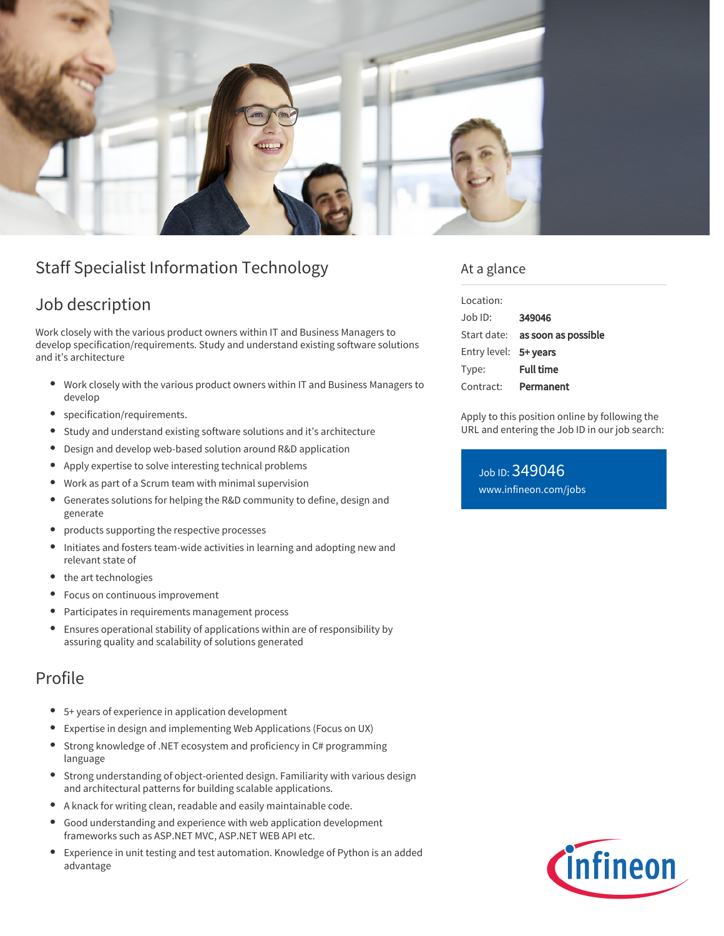

# Staff Specialist Information Technology

## Job description

Work closely with the various product owners within IT and Business Managers to develop specification/requirements. Study and understand existing software solutions and it's architecture

- $\bullet$ Work closely with the various product owners within IT and Business Managers to develop
- specification/requirements.
- Study and understand existing software solutions and it's architecture  $\bullet$
- Design and develop web-based solution around R&D application  $\bullet$
- Apply expertise to solve interesting technical problems
- $\bullet$ Work as part of a Scrum team with minimal supervision
- Generates solutions for helping the R&D community to define, design and  $\bullet$ generate
- products supporting the respective processes
- Initiates and fosters team-wide activities in learning and adopting new and  $\bullet$ relevant state of
- the art technologies
- Focus on continuous improvement  $\bullet$
- $\bullet$ Participates in requirements management process
- $\bullet$ Ensures operational stability of applications within are of responsibility by assuring quality and scalability of solutions generated

## Profile

- 5+ years of experience in application development
- Expertise in design and implementing Web Applications (Focus on UX)
- Strong knowledge of .NET ecosystem and proficiency in C# programming language
- Strong understanding of object-oriented design. Familiarity with various design and architectural patterns for building scalable applications.
- A knack for writing clean, readable and easily maintainable code.
- Good understanding and experience with web application development  $\bullet$ frameworks such as ASP.NET MVC, ASP.NET WEB API etc.
- Experience in unit testing and test automation. Knowledge of Python is an added advantage

### At a glance

| Location:             |                                 |
|-----------------------|---------------------------------|
| $Joh$ ID:             | 349046                          |
|                       | Start date: as soon as possible |
| Entry level: 5+ years |                                 |
| Type:                 | <b>Full time</b>                |
| Contract:             | Permanent                       |

Apply to this position online by following the URL and entering the Job ID in our job search:

Job ID: 349046 [www.infineon.com/jobs](https://www.infineon.com/jobs)